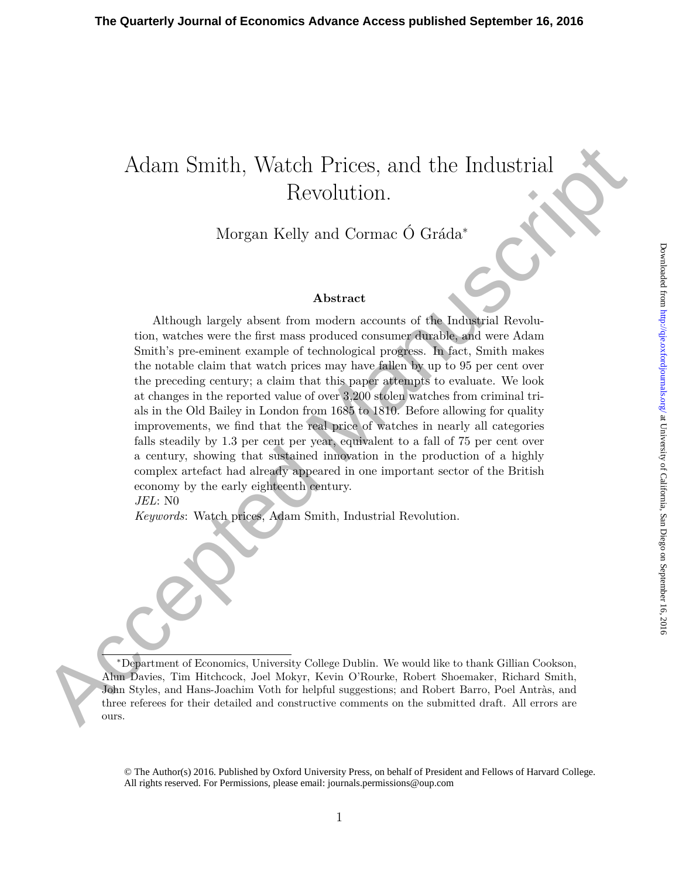# Adam Smith, Watch Prices, and the Industrial Revolution.

Morgan Kelly and Cormac Ó Gráda<sup>∗</sup>

#### **Abstract**

Action Similarly, Watch Prices, and the Industrial Revolution.<br>
Revolution.<br>
Morgan Kelly and Cornac Ó Gráda"<br>
Abstract Revolution Cornac Cornac Cornac Cornac Cornac Cornac Cornac Cornac Cornac Cornac Cornac Cornac Simila Although largely absent from modern accounts of the Industrial Revolution, watches were the first mass produced consumer durable, and were Adam Smith's pre-eminent example of technological progress. In fact, Smith makes the notable claim that watch prices may have fallen by up to 95 per cent over the preceding century; a claim that this paper attempts to evaluate. We look at changes in the reported value of over 3,200 stolen watches from criminal trials in the Old Bailey in London from 1685 to 1810. Before allowing for quality improvements, we find that the real price of watches in nearly all categories falls steadily by 1.3 per cent per year, equivalent to a fall of 75 per cent over a century, showing that sustained innovation in the production of a highly complex artefact had already appeared in one important sector of the British economy by the early eighteenth century.

*JEL*: N0

*Keywords*: Watch prices, Adam Smith, Industrial Revolution.

<sup>∗</sup>Department of Economics, University College Dublin. We would like to thank Gillian Cookson, Alun Davies, Tim Hitchcock, Joel Mokyr, Kevin O'Rourke, Robert Shoemaker, Richard Smith, John Styles, and Hans-Joachim Voth for helpful suggestions; and Robert Barro, Poel Antràs, and three referees for their detailed and constructive comments on the submitted draft. All errors are ours.

© The Author(s) 2016. Published by Oxford University Press, on behalf of President and Fellows of Harvard College. All rights reserved. For Permissions, please email: journals.permissions@oup.com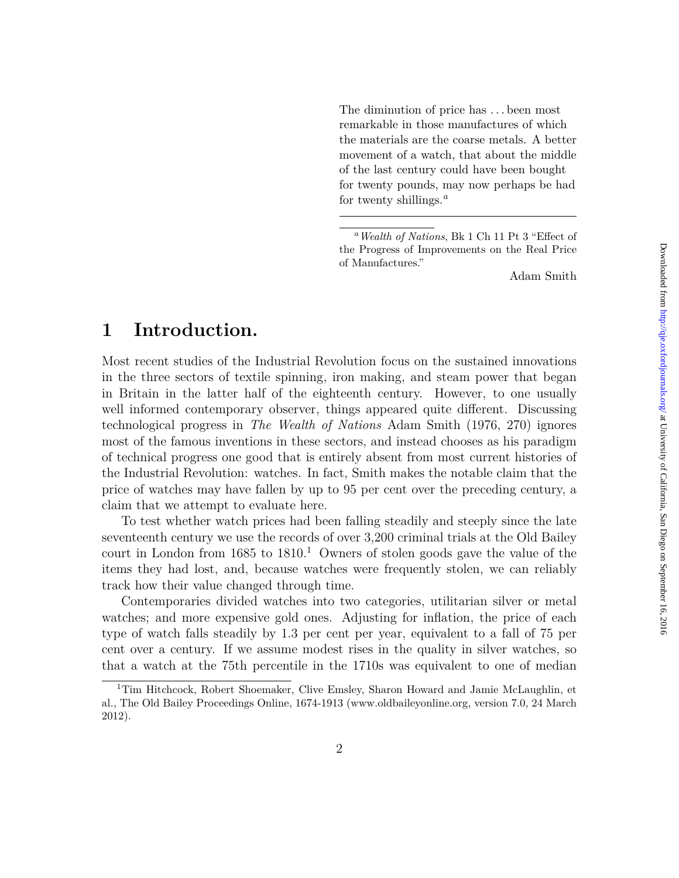The diminution of price has . . . been most remarkable in those manufactures of which the materials are the coarse metals. A better movement of a watch, that about the middle of the last century could have been bought for twenty pounds, may now perhaps be had for twenty shillings.*<sup>a</sup>*

Adam Smith

### **1 Introduction.**

Most recent studies of the Industrial Revolution focus on the sustained innovations in the three sectors of textile spinning, iron making, and steam power that began in Britain in the latter half of the eighteenth century. However, to one usually well informed contemporary observer, things appeared quite different. Discussing technological progress in *The Wealth of Nations* Adam Smith (1976, 270) ignores most of the famous inventions in these sectors, and instead chooses as his paradigm of technical progress one good that is entirely absent from most current histories of the Industrial Revolution: watches. In fact, Smith makes the notable claim that the price of watches may have fallen by up to 95 per cent over the preceding century, a claim that we attempt to evaluate here.

To test whether watch prices had been falling steadily and steeply since the late seventeenth century we use the records of over 3,200 criminal trials at the Old Bailey court in London from  $1685$  to  $1810<sup>1</sup>$  Owners of stolen goods gave the value of the items they had lost, and, because watches were frequently stolen, we can reliably track how their value changed through time.

Contemporaries divided watches into two categories, utilitarian silver or metal watches; and more expensive gold ones. Adjusting for inflation, the price of each type of watch falls steadily by 1.3 per cent per year, equivalent to a fall of 75 per cent over a century. If we assume modest rises in the quality in silver watches, so that a watch at the 75th percentile in the 1710s was equivalent to one of median

*<sup>a</sup>Wealth of Nations*, Bk 1 Ch 11 Pt 3 "Effect of the Progress of Improvements on the Real Price of Manufactures."

<sup>&</sup>lt;sup>1</sup>Tim Hitchcock, Robert Shoemaker, Clive Emsley, Sharon Howard and Jamie McLaughlin, et al., The Old Bailey Proceedings Online, 1674-1913 (www.oldbaileyonline.org, version 7.0, 24 March 2012).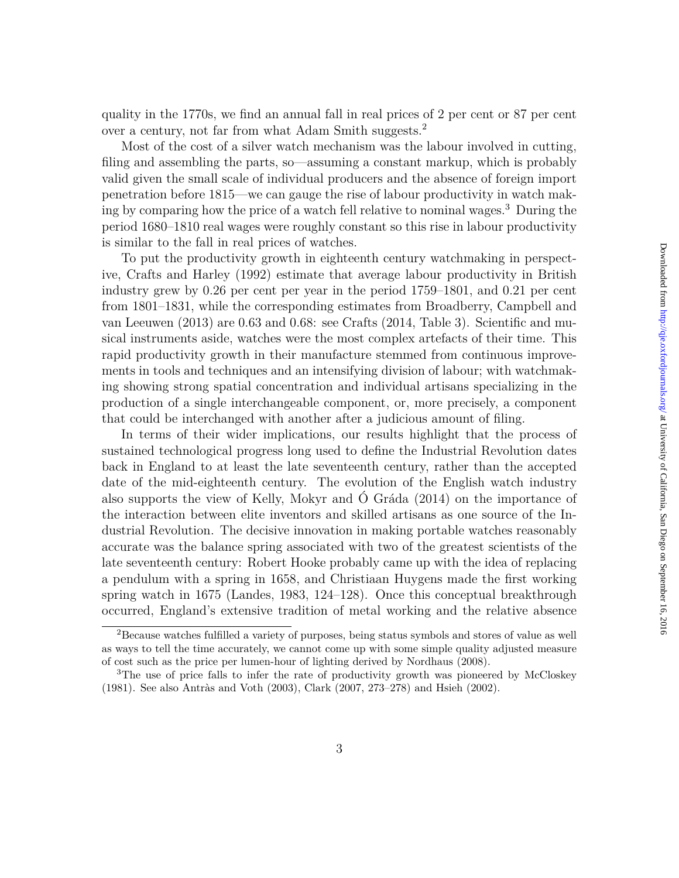quality in the 1770s, we find an annual fall in real prices of 2 per cent or 87 per cent over a century, not far from what Adam Smith suggests.<sup>2</sup>

Most of the cost of a silver watch mechanism was the labour involved in cutting, filing and assembling the parts, so—assuming a constant markup, which is probably valid given the small scale of individual producers and the absence of foreign import penetration before 1815—we can gauge the rise of labour productivity in watch making by comparing how the price of a watch fell relative to nominal wages.<sup>3</sup> During the period 1680–1810 real wages were roughly constant so this rise in labour productivity is similar to the fall in real prices of watches.

To put the productivity growth in eighteenth century watchmaking in perspective, Crafts and Harley (1992) estimate that average labour productivity in British industry grew by 0.26 per cent per year in the period 1759–1801, and 0.21 per cent from 1801–1831, while the corresponding estimates from Broadberry, Campbell and van Leeuwen (2013) are 0.63 and 0.68: see Crafts (2014, Table 3). Scientific and musical instruments aside, watches were the most complex artefacts of their time. This rapid productivity growth in their manufacture stemmed from continuous improvements in tools and techniques and an intensifying division of labour; with watchmaking showing strong spatial concentration and individual artisans specializing in the production of a single interchangeable component, or, more precisely, a component that could be interchanged with another after a judicious amount of filing.

In terms of their wider implications, our results highlight that the process of sustained technological progress long used to define the Industrial Revolution dates back in England to at least the late seventeenth century, rather than the accepted date of the mid-eighteenth century. The evolution of the English watch industry also supports the view of Kelly, Mokyr and Ó Gráda (2014) on the importance of the interaction between elite inventors and skilled artisans as one source of the Industrial Revolution. The decisive innovation in making portable watches reasonably accurate was the balance spring associated with two of the greatest scientists of the late seventeenth century: Robert Hooke probably came up with the idea of replacing a pendulum with a spring in 1658, and Christiaan Huygens made the first working spring watch in 1675 (Landes, 1983, 124–128). Once this conceptual breakthrough occurred, England's extensive tradition of metal working and the relative absence

<sup>2</sup>Because watches fulfilled a variety of purposes, being status symbols and stores of value as well as ways to tell the time accurately, we cannot come up with some simple quality adjusted measure of cost such as the price per lumen-hour of lighting derived by Nordhaus (2008).

<sup>&</sup>lt;sup>3</sup>The use of price falls to infer the rate of productivity growth was pioneered by McCloskey (1981). See also Antràs and Voth (2003), Clark (2007, 273–278) and Hsieh (2002).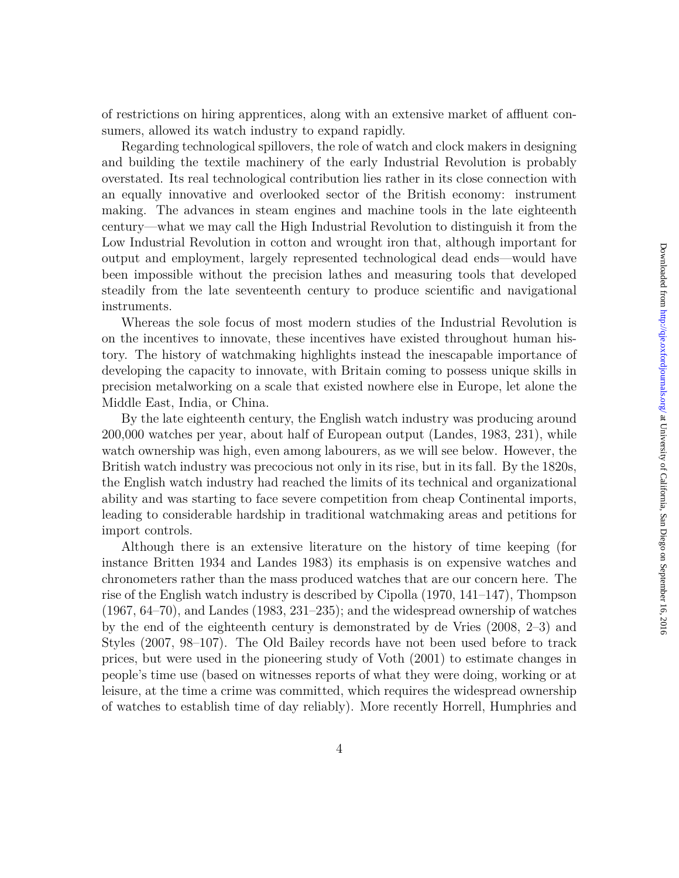of restrictions on hiring apprentices, along with an extensive market of affluent consumers, allowed its watch industry to expand rapidly.

Regarding technological spillovers, the role of watch and clock makers in designing and building the textile machinery of the early Industrial Revolution is probably overstated. Its real technological contribution lies rather in its close connection with an equally innovative and overlooked sector of the British economy: instrument making. The advances in steam engines and machine tools in the late eighteenth century—what we may call the High Industrial Revolution to distinguish it from the Low Industrial Revolution in cotton and wrought iron that, although important for output and employment, largely represented technological dead ends—would have been impossible without the precision lathes and measuring tools that developed steadily from the late seventeenth century to produce scientific and navigational instruments.

Whereas the sole focus of most modern studies of the Industrial Revolution is on the incentives to innovate, these incentives have existed throughout human history. The history of watchmaking highlights instead the inescapable importance of developing the capacity to innovate, with Britain coming to possess unique skills in precision metalworking on a scale that existed nowhere else in Europe, let alone the Middle East, India, or China.

By the late eighteenth century, the English watch industry was producing around 200,000 watches per year, about half of European output (Landes, 1983, 231), while watch ownership was high, even among labourers, as we will see below. However, the British watch industry was precocious not only in its rise, but in its fall. By the 1820s, the English watch industry had reached the limits of its technical and organizational ability and was starting to face severe competition from cheap Continental imports, leading to considerable hardship in traditional watchmaking areas and petitions for import controls.

Although there is an extensive literature on the history of time keeping (for instance Britten 1934 and Landes 1983) its emphasis is on expensive watches and chronometers rather than the mass produced watches that are our concern here. The rise of the English watch industry is described by Cipolla (1970, 141–147), Thompson  $(1967, 64–70)$ , and Landes  $(1983, 231–235)$ ; and the widespread ownership of watches by the end of the eighteenth century is demonstrated by de Vries (2008, 2–3) and Styles (2007, 98–107). The Old Bailey records have not been used before to track prices, but were used in the pioneering study of Voth (2001) to estimate changes in people's time use (based on witnesses reports of what they were doing, working or at leisure, at the time a crime was committed, which requires the widespread ownership of watches to establish time of day reliably). More recently Horrell, Humphries and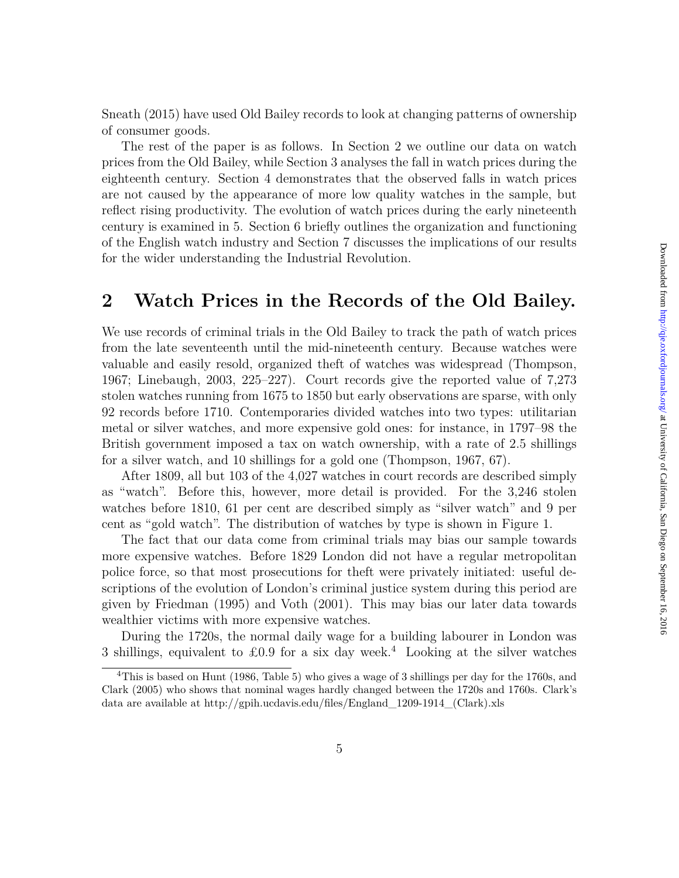Sneath (2015) have used Old Bailey records to look at changing patterns of ownership of consumer goods.

The rest of the paper is as follows. In Section 2 we outline our data on watch prices from the Old Bailey, while Section 3 analyses the fall in watch prices during the eighteenth century. Section 4 demonstrates that the observed falls in watch prices are not caused by the appearance of more low quality watches in the sample, but reflect rising productivity. The evolution of watch prices during the early nineteenth century is examined in 5. Section 6 briefly outlines the organization and functioning of the English watch industry and Section 7 discusses the implications of our results for the wider understanding the Industrial Revolution.

### **2 Watch Prices in the Records of the Old Bailey.**

We use records of criminal trials in the Old Bailey to track the path of watch prices from the late seventeenth until the mid-nineteenth century. Because watches were valuable and easily resold, organized theft of watches was widespread (Thompson, 1967; Linebaugh, 2003, 225–227). Court records give the reported value of 7,273 stolen watches running from 1675 to 1850 but early observations are sparse, with only 92 records before 1710. Contemporaries divided watches into two types: utilitarian metal or silver watches, and more expensive gold ones: for instance, in 1797–98 the British government imposed a tax on watch ownership, with a rate of 2.5 shillings for a silver watch, and 10 shillings for a gold one (Thompson, 1967, 67).

After 1809, all but 103 of the 4,027 watches in court records are described simply as "watch". Before this, however, more detail is provided. For the 3,246 stolen watches before 1810, 61 per cent are described simply as "silver watch" and 9 per cent as "gold watch". The distribution of watches by type is shown in Figure 1.

The fact that our data come from criminal trials may bias our sample towards more expensive watches. Before 1829 London did not have a regular metropolitan police force, so that most prosecutions for theft were privately initiated: useful descriptions of the evolution of London's criminal justice system during this period are given by Friedman (1995) and Voth (2001). This may bias our later data towards wealthier victims with more expensive watches.

During the 1720s, the normal daily wage for a building labourer in London was 3 shillings, equivalent to £0.9 for a six day week.<sup>4</sup> Looking at the silver watches

<sup>&</sup>lt;sup>4</sup>This is based on Hunt (1986, Table 5) who gives a wage of 3 shillings per day for the 1760s, and Clark (2005) who shows that nominal wages hardly changed between the 1720s and 1760s. Clark's data are available at http://gpih.ucdavis.edu/files/England\_1209-1914\_(Clark).xls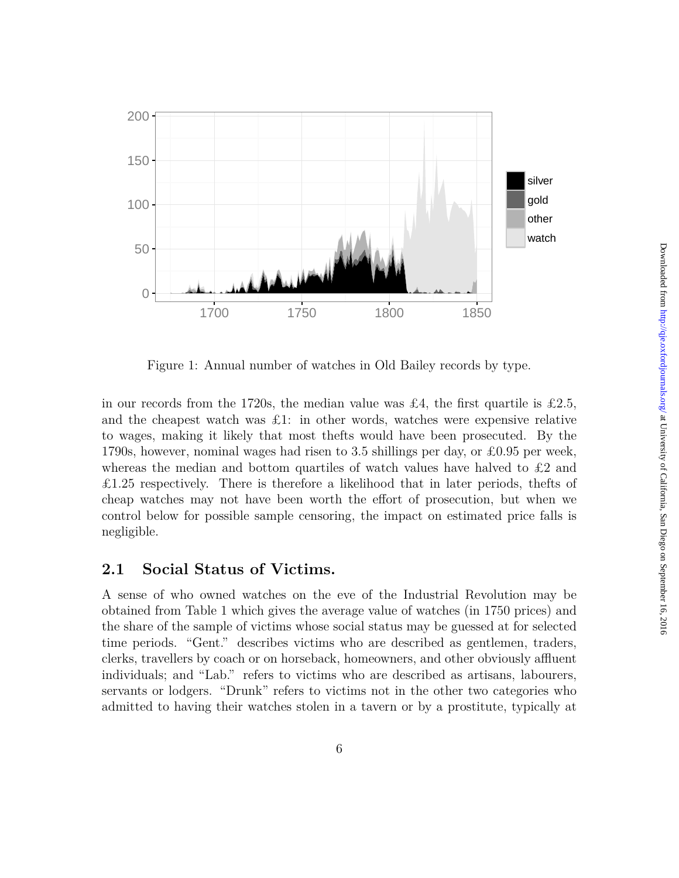

Figure 1: Annual number of watches in Old Bailey records by type.

in our records from the 1720s, the median value was £4, the first quartile is £2.5, and the cheapest watch was  $\pounds$ 1: in other words, watches were expensive relative to wages, making it likely that most thefts would have been prosecuted. By the 1790s, however, nominal wages had risen to 3.5 shillings per day, or £0.95 per week, whereas the median and bottom quartiles of watch values have halved to  $\pounds 2$  and  $\pounds$ 1.25 respectively. There is therefore a likelihood that in later periods, the fts of cheap watches may not have been worth the effort of prosecution, but when we control below for possible sample censoring, the impact on estimated price falls is negligible.

### **2.1 Social Status of Victims.**

A sense of who owned watches on the eve of the Industrial Revolution may be obtained from Table 1 which gives the average value of watches (in 1750 prices) and the share of the sample of victims whose social status may be guessed at for selected time periods. "Gent." describes victims who are described as gentlemen, traders, clerks, travellers by coach or on horseback, homeowners, and other obviously affluent individuals; and "Lab." refers to victims who are described as artisans, labourers, servants or lodgers. "Drunk" refers to victims not in the other two categories who admitted to having their watches stolen in a tavern or by a prostitute, typically at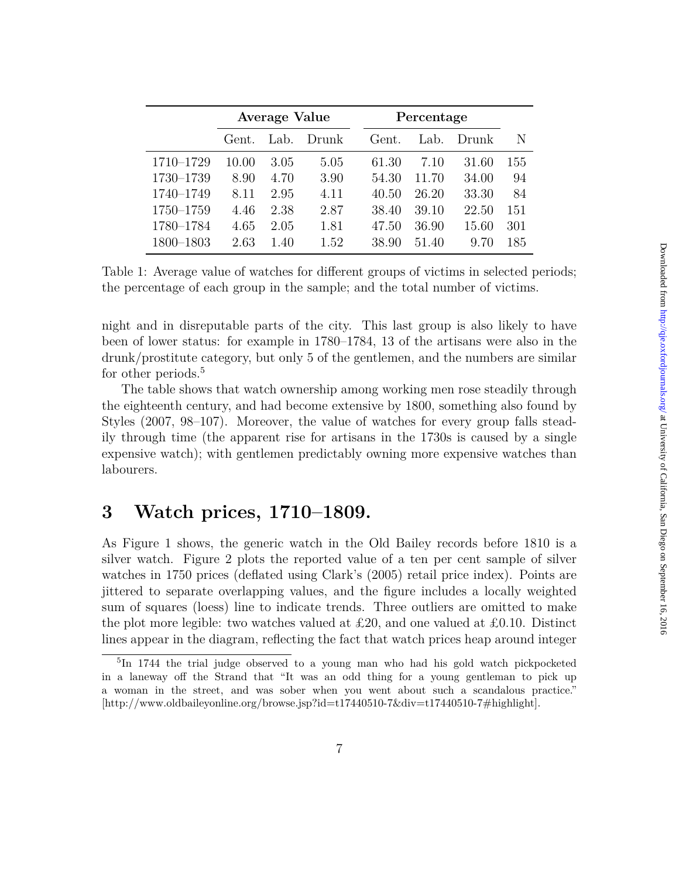|           | <b>Average Value</b> |      |       | Percentage |       |       |     |
|-----------|----------------------|------|-------|------------|-------|-------|-----|
|           | Gent.                | Lab. | Drunk | Gent.      | Lab.  | Drunk | N   |
| 1710-1729 | 10.00                | 3.05 | 5.05  | 61.30      | 7.10  | 31.60 | 155 |
| 1730-1739 | 8.90                 | 4.70 | 3.90  | 54.30      | 11.70 | 34.00 | 94  |
| 1740-1749 | 8.11                 | 2.95 | 4.11  | 40.50      | 26.20 | 33.30 | 84  |
| 1750-1759 | 4.46                 | 2.38 | 2.87  | 38.40      | 39.10 | 22.50 | 151 |
| 1780-1784 | 4.65                 | 2.05 | 1.81  | 47.50      | 36.90 | 15.60 | 301 |
| 1800–1803 | 2.63                 | 1.40 | 1.52  | 38.90      | 51.40 | 9.70  | 185 |

Table 1: Average value of watches for different groups of victims in selected periods; the percentage of each group in the sample; and the total number of victims.

night and in disreputable parts of the city. This last group is also likely to have been of lower status: for example in 1780–1784, 13 of the artisans were also in the drunk/prostitute category, but only 5 of the gentlemen, and the numbers are similar for other periods.<sup>5</sup>

The table shows that watch ownership among working men rose steadily through the eighteenth century, and had become extensive by 1800, something also found by Styles (2007, 98–107). Moreover, the value of watches for every group falls steadily through time (the apparent rise for artisans in the 1730s is caused by a single expensive watch); with gentlemen predictably owning more expensive watches than labourers.

### **3 Watch prices, 1710–1809.**

As Figure 1 shows, the generic watch in the Old Bailey records before 1810 is a silver watch. Figure 2 plots the reported value of a ten per cent sample of silver watches in 1750 prices (deflated using Clark's (2005) retail price index). Points are jittered to separate overlapping values, and the figure includes a locally weighted sum of squares (loess) line to indicate trends. Three outliers are omitted to make the plot more legible: two watches valued at £20, and one valued at £0.10. Distinct lines appear in the diagram, reflecting the fact that watch prices heap around integer

<sup>&</sup>lt;sup>5</sup>In 1744 the trial judge observed to a young man who had his gold watch pickpocketed in a laneway off the Strand that "It was an odd thing for a young gentleman to pick up a woman in the street, and was sober when you went about such a scandalous practice." [http://www.oldbaileyonline.org/browse.jsp?id=t17440510-7&div=t17440510-7#highlight].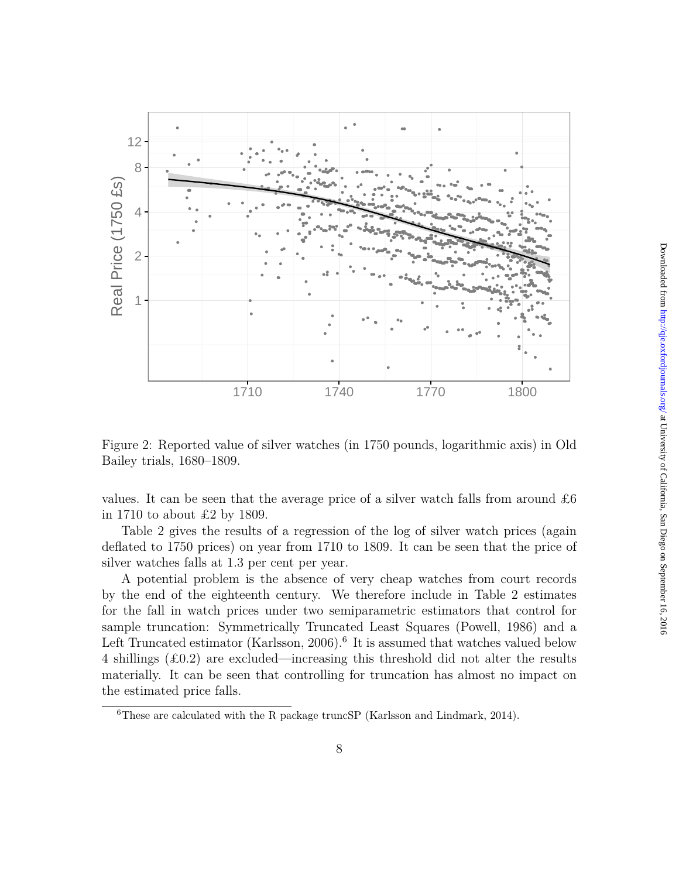

Figure 2: Reported value of silver watches (in 1750 pounds, logarithmic axis) in Old Bailey trials, 1680–1809.

values. It can be seen that the average price of a silver watch falls from around  $\pounds 6$ in 1710 to about £2 by 1809.

Table 2 gives the results of a regression of the log of silver watch prices (again deflated to 1750 prices) on year from 1710 to 1809. It can be seen that the price of silver watches falls at 1.3 per cent per year.

A potential problem is the absence of very cheap watches from court records by the end of the eighteenth century. We therefore include in Table 2 estimates for the fall in watch prices under two semiparametric estimators that control for sample truncation: Symmetrically Truncated Least Squares (Powell, 1986) and a Left Truncated estimator (Karlsson, 2006).<sup>6</sup> It is assumed that watches valued below 4 shillings  $(\text{\pounds}0.2)$  are excluded—increasing this threshold did not alter the results materially. It can be seen that controlling for truncation has almost no impact on the estimated price falls.

<sup>6</sup>These are calculated with the R package truncSP (Karlsson and Lindmark, 2014).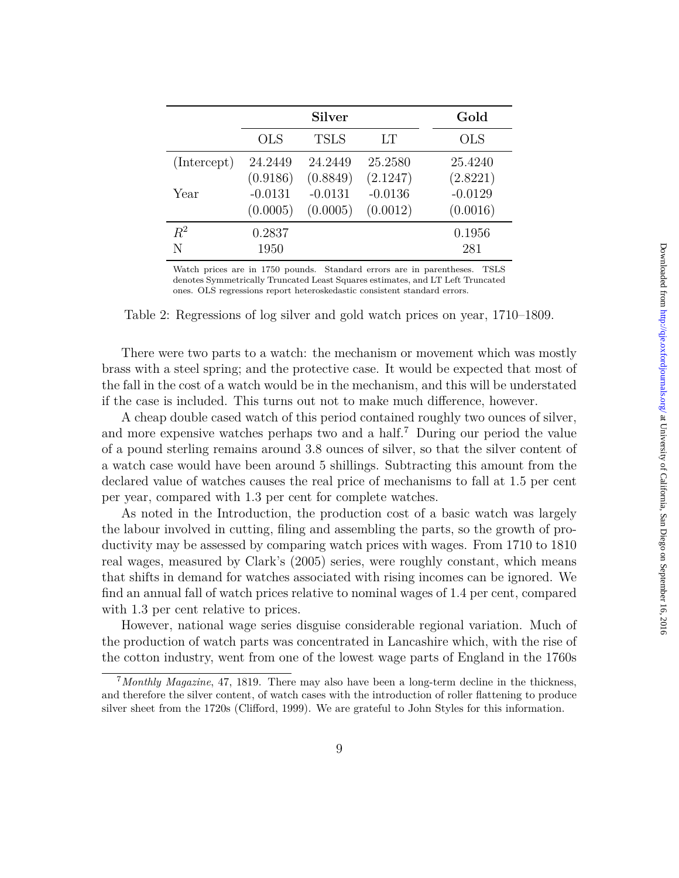|             |            | <b>Silver</b> |           | Gold       |
|-------------|------------|---------------|-----------|------------|
|             | <b>OLS</b> | <b>TSLS</b>   | LT        | <b>OLS</b> |
| (Intercept) | 24.2449    | 24.2449       | 25.2580   | 25.4240    |
|             | (0.9186)   | (0.8849)      | (2.1247)  | (2.8221)   |
| Year        | $-0.0131$  | $-0.0131$     | $-0.0136$ | $-0.0129$  |
|             | (0.0005)   | (0.0005)      | (0.0012)  | (0.0016)   |
| $R^2$       | 0.2837     |               |           | 0.1956     |
| N           | 1950       |               |           | 281        |

Watch prices are in 1750 pounds. Standard errors are in parentheses. TSLS denotes Symmetrically Truncated Least Squares estimates, and LT Left Truncated ones. OLS regressions report heteroskedastic consistent standard errors.

Table 2: Regressions of log silver and gold watch prices on year, 1710–1809.

There were two parts to a watch: the mechanism or movement which was mostly brass with a steel spring; and the protective case. It would be expected that most of the fall in the cost of a watch would be in the mechanism, and this will be understated if the case is included. This turns out not to make much difference, however.

A cheap double cased watch of this period contained roughly two ounces of silver, and more expensive watches perhaps two and a half.<sup>7</sup> During our period the value of a pound sterling remains around 3.8 ounces of silver, so that the silver content of a watch case would have been around 5 shillings. Subtracting this amount from the declared value of watches causes the real price of mechanisms to fall at 1.5 per cent per year, compared with 1.3 per cent for complete watches.

As noted in the Introduction, the production cost of a basic watch was largely the labour involved in cutting, filing and assembling the parts, so the growth of productivity may be assessed by comparing watch prices with wages. From 1710 to 1810 real wages, measured by Clark's (2005) series, were roughly constant, which means that shifts in demand for watches associated with rising incomes can be ignored. We find an annual fall of watch prices relative to nominal wages of 1.4 per cent, compared with 1.3 per cent relative to prices.

However, national wage series disguise considerable regional variation. Much of the production of watch parts was concentrated in Lancashire which, with the rise of the cotton industry, went from one of the lowest wage parts of England in the 1760s

<sup>7</sup>*Monthly Magazine*, 47, 1819. There may also have been a long-term decline in the thickness, and therefore the silver content, of watch cases with the introduction of roller flattening to produce silver sheet from the 1720s (Clifford, 1999). We are grateful to John Styles for this information.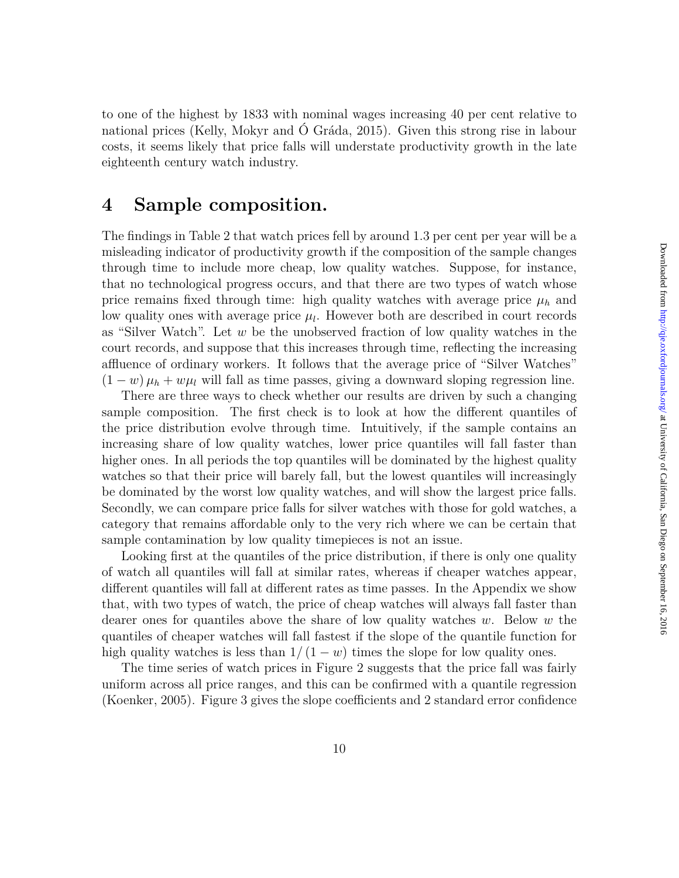to one of the highest by 1833 with nominal wages increasing 40 per cent relative to national prices (Kelly, Mokyr and Ó Gráda, 2015). Given this strong rise in labour costs, it seems likely that price falls will understate productivity growth in the late eighteenth century watch industry.

# **4 Sample composition.**

The findings in Table 2 that watch prices fell by around 1.3 per cent per year will be a misleading indicator of productivity growth if the composition of the sample changes through time to include more cheap, low quality watches. Suppose, for instance, that no technological progress occurs, and that there are two types of watch whose price remains fixed through time: high quality watches with average price  $\mu_h$  and low quality ones with average price  $\mu_l$ . However both are described in court records as "Silver Watch". Let *w* be the unobserved fraction of low quality watches in the court records, and suppose that this increases through time, reflecting the increasing affluence of ordinary workers. It follows that the average price of "Silver Watches"  $(1 - w)\mu_h + w\mu_l$  will fall as time passes, giving a downward sloping regression line.

There are three ways to check whether our results are driven by such a changing sample composition. The first check is to look at how the different quantiles of the price distribution evolve through time. Intuitively, if the sample contains an increasing share of low quality watches, lower price quantiles will fall faster than higher ones. In all periods the top quantiles will be dominated by the highest quality watches so that their price will barely fall, but the lowest quantiles will increasingly be dominated by the worst low quality watches, and will show the largest price falls. Secondly, we can compare price falls for silver watches with those for gold watches, a category that remains affordable only to the very rich where we can be certain that sample contamination by low quality timepieces is not an issue.

Looking first at the quantiles of the price distribution, if there is only one quality of watch all quantiles will fall at similar rates, whereas if cheaper watches appear, different quantiles will fall at different rates as time passes. In the Appendix we show that, with two types of watch, the price of cheap watches will always fall faster than dearer ones for quantiles above the share of low quality watches *w*. Below *w* the quantiles of cheaper watches will fall fastest if the slope of the quantile function for high quality watches is less than  $1/(1-w)$  times the slope for low quality ones.

The time series of watch prices in Figure 2 suggests that the price fall was fairly uniform across all price ranges, and this can be confirmed with a quantile regression (Koenker, 2005). Figure 3 gives the slope coefficients and 2 standard error confidence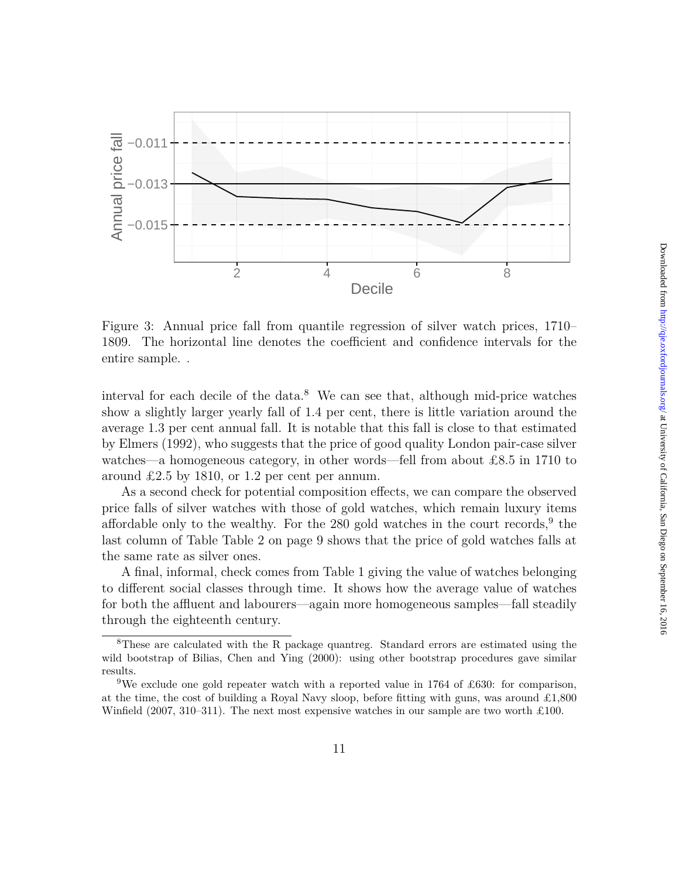

Figure 3: Annual price fall from quantile regression of silver watch prices, 1710– 1809. The horizontal line denotes the coefficient and confidence intervals for the entire sample. .

interval for each decile of the data.<sup>8</sup> We can see that, although mid-price watches show a slightly larger yearly fall of 1.4 per cent, there is little variation around the average 1.3 per cent annual fall. It is notable that this fall is close to that estimated by Elmers (1992), who suggests that the price of good quality London pair-case silver watches—a homogeneous category, in other words—fell from about £8.5 in 1710 to around £2.5 by 1810, or 1.2 per cent per annum.

As a second check for potential composition effects, we can compare the observed price falls of silver watches with those of gold watches, which remain luxury items affordable only to the wealthy. For the  $280$  gold watches in the court records,  $9$  the last column of Table Table 2 on page 9 shows that the price of gold watches falls at the same rate as silver ones.

A final, informal, check comes from Table 1 giving the value of watches belonging to different social classes through time. It shows how the average value of watches for both the affluent and labourers—again more homogeneous samples—fall steadily through the eighteenth century.

<sup>8</sup>These are calculated with the R package quantreg. Standard errors are estimated using the wild bootstrap of Bilias, Chen and Ying (2000): using other bootstrap procedures gave similar results.

<sup>&</sup>lt;sup>9</sup>We exclude one gold repeater watch with a reported value in 1764 of £630: for comparison, at the time, the cost of building a Royal Navy sloop, before fitting with guns, was around  $\pounds1,800$ Winfield  $(2007, 310-311)$ . The next most expensive watches in our sample are two worth £100.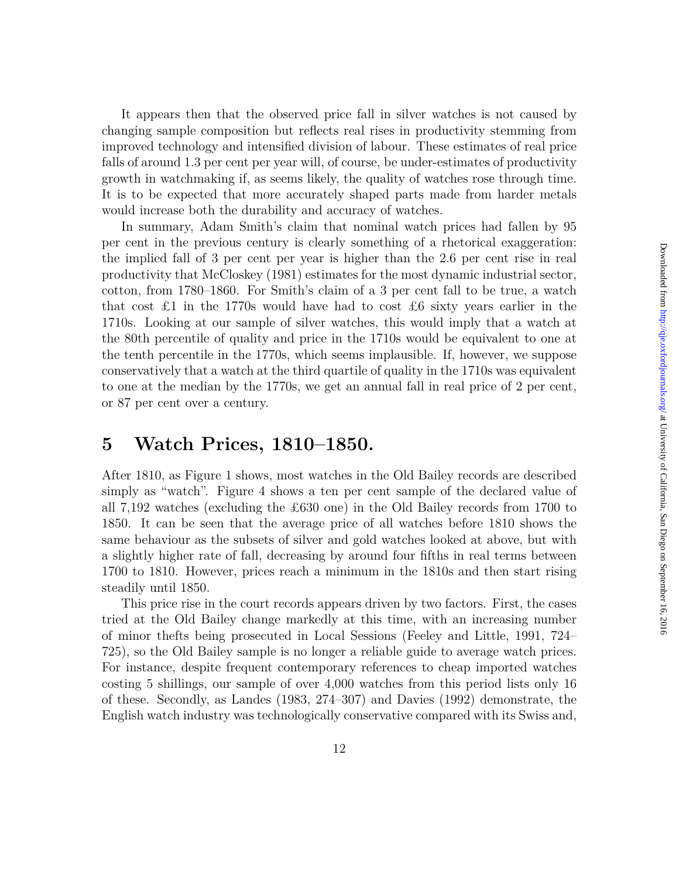changing sample composition but reflects real rises in productivity stemming from improved technology and intensified division of labour. These estimates of real price falls of around 1.3 per cent per year will, of course, be under-estimates of productivity growth in watchmaking if, as seems likely, the quality of watches rose through time. It is to be expected that more accurately shaped parts made from harder metals would increase both the durability and accuracy of watches. In summary, Adam Smith's claim that nominal watch prices had fallen by 95

per cent in the previous century is clearly something of a rhetorical exaggeration: the implied fall of 3 per cent per year is higher than the 2.6 per cent rise in real productivity that McCloskey (1981) estimates for the most dynamic industrial sector, cotton, from 1780–1860. For Smith's claim of a 3 per cent fall to be true, a watch that cost £1 in the 1770s would have had to cost £6 sixty years earlier in the 1710s. Looking at our sample of silver watches, this would imply that a watch at the 80th percentile of quality and price in the 1710s would be equivalent to one at the tenth percentile in the 1770s, which seems implausible. If, however, we suppose conservatively that a watch at the third quartile of quality in the 1710s was equivalent to one at the median by the 1770s, we get an annual fall in real price of 2 per cent, or 87 per cent over a century.

It appears then that the observed price fall in silver watches is not caused by

### **5 Watch Prices, 1810–1850.**

After 1810, as Figure 1 shows, most watches in the Old Bailey records are described simply as "watch". Figure 4 shows a ten per cent sample of the declared value of all 7,192 watches (excluding the £630 one) in the Old Bailey records from 1700 to 1850. It can be seen that the average price of all watches before 1810 shows the same behaviour as the subsets of silver and gold watches looked at above, but with a slightly higher rate of fall, decreasing by around four fifths in real terms between 1700 to 1810. However, prices reach a minimum in the 1810s and then start rising steadily until 1850.

This price rise in the court records appears driven by two factors. First, the cases tried at the Old Bailey change markedly at this time, with an increasing number of minor thefts being prosecuted in Local Sessions (Feeley and Little, 1991, 724– 725), so the Old Bailey sample is no longer a reliable guide to average watch prices. For instance, despite frequent contemporary references to cheap imported watches costing 5 shillings, our sample of over 4,000 watches from this period lists only 16 of these. Secondly, as Landes (1983, 274–307) and Davies (1992) demonstrate, the English watch industry was technologically conservative compared with its Swiss and,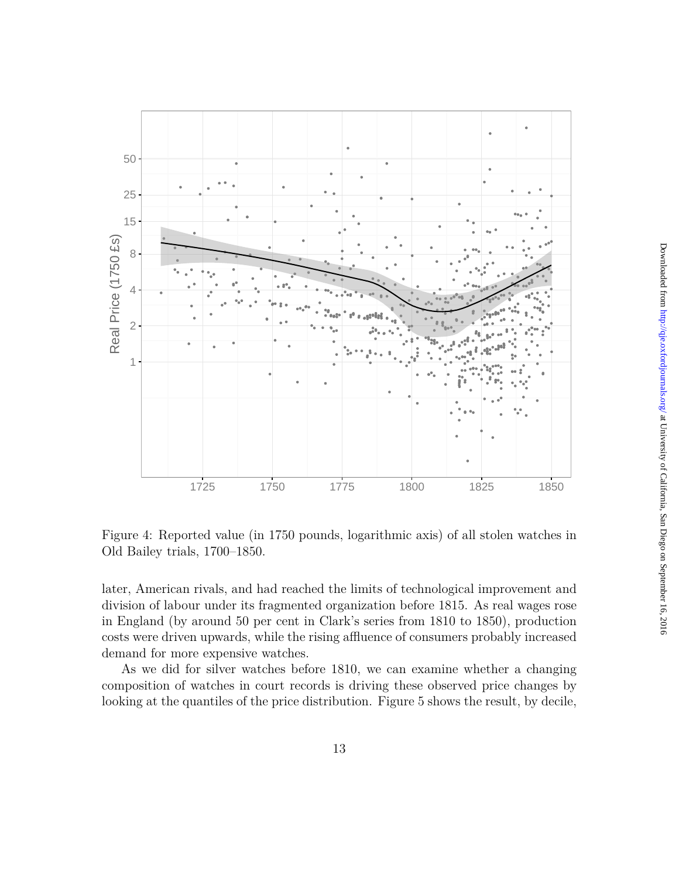

Figure 4: Reported value (in 1750 pounds, logarithmic axis) of all stolen watches in Old Bailey trials, 1700–1850.

later, American rivals, and had reached the limits of technological improvement and division of labour under its fragmented organization before 1815. As real wages rose in England (by around 50 per cent in Clark's series from 1810 to 1850), production costs were driven upwards, while the rising affluence of consumers probably increased demand for more expensive watches.

As we did for silver watches before 1810, we can examine whether a changing composition of watches in court records is driving these observed price changes by looking at the quantiles of the price distribution. Figure 5 shows the result, by decile,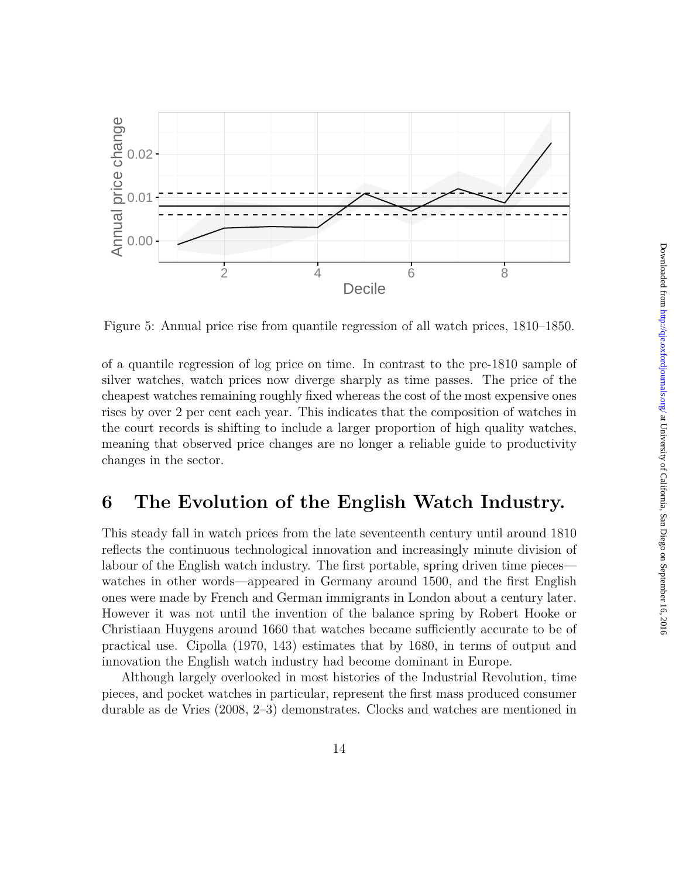

Figure 5: Annual price rise from quantile regression of all watch prices, 1810–1850.

of a quantile regression of log price on time. In contrast to the pre-1810 sample of silver watches, watch prices now diverge sharply as time passes. The price of the cheapest watches remaining roughly fixed whereas the cost of the most expensive ones rises by over 2 per cent each year. This indicates that the composition of watches in the court records is shifting to include a larger proportion of high quality watches, meaning that observed price changes are no longer a reliable guide to productivity changes in the sector.

### **6 The Evolution of the English Watch Industry.**

This steady fall in watch prices from the late seventeenth century until around 1810 reflects the continuous technological innovation and increasingly minute division of labour of the English watch industry. The first portable, spring driven time pieces watches in other words—appeared in Germany around 1500, and the first English ones were made by French and German immigrants in London about a century later. However it was not until the invention of the balance spring by Robert Hooke or Christiaan Huygens around 1660 that watches became sufficiently accurate to be of practical use. Cipolla (1970, 143) estimates that by 1680, in terms of output and innovation the English watch industry had become dominant in Europe.

Although largely overlooked in most histories of the Industrial Revolution, time pieces, and pocket watches in particular, represent the first mass produced consumer durable as de Vries (2008, 2–3) demonstrates. Clocks and watches are mentioned in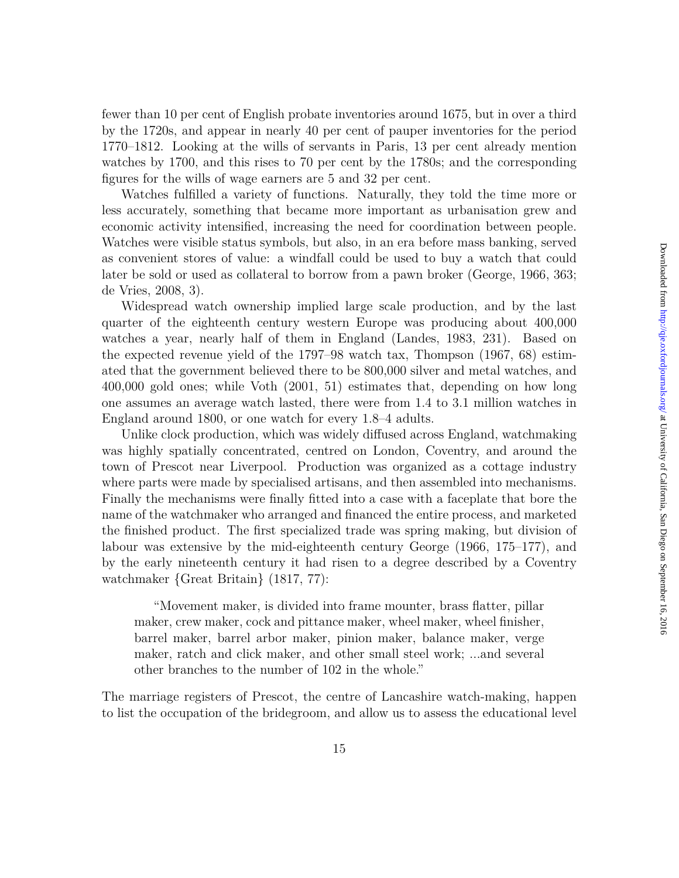fewer than 10 per cent of English probate inventories around 1675, but in over a third by the 1720s, and appear in nearly 40 per cent of pauper inventories for the period 1770–1812. Looking at the wills of servants in Paris, 13 per cent already mention watches by 1700, and this rises to 70 per cent by the 1780s; and the corresponding figures for the wills of wage earners are 5 and 32 per cent.

Watches fulfilled a variety of functions. Naturally, they told the time more or less accurately, something that became more important as urbanisation grew and economic activity intensified, increasing the need for coordination between people. Watches were visible status symbols, but also, in an era before mass banking, served as convenient stores of value: a windfall could be used to buy a watch that could later be sold or used as collateral to borrow from a pawn broker (George, 1966, 363; de Vries, 2008, 3).

Widespread watch ownership implied large scale production, and by the last quarter of the eighteenth century western Europe was producing about 400,000 watches a year, nearly half of them in England (Landes, 1983, 231). Based on the expected revenue yield of the 1797–98 watch tax, Thompson (1967, 68) estimated that the government believed there to be 800,000 silver and metal watches, and 400,000 gold ones; while Voth (2001, 51) estimates that, depending on how long one assumes an average watch lasted, there were from 1.4 to 3.1 million watches in England around 1800, or one watch for every 1.8–4 adults.

Unlike clock production, which was widely diffused across England, watchmaking was highly spatially concentrated, centred on London, Coventry, and around the town of Prescot near Liverpool. Production was organized as a cottage industry where parts were made by specialised artisans, and then assembled into mechanisms. Finally the mechanisms were finally fitted into a case with a faceplate that bore the name of the watchmaker who arranged and financed the entire process, and marketed the finished product. The first specialized trade was spring making, but division of labour was extensive by the mid-eighteenth century George (1966, 175–177), and by the early nineteenth century it had risen to a degree described by a Coventry watchmaker {Great Britain} (1817, 77):

"Movement maker, is divided into frame mounter, brass flatter, pillar maker, crew maker, cock and pittance maker, wheel maker, wheel finisher, barrel maker, barrel arbor maker, pinion maker, balance maker, verge maker, ratch and click maker, and other small steel work; ...and several other branches to the number of 102 in the whole."

The marriage registers of Prescot, the centre of Lancashire watch-making, happen to list the occupation of the bridegroom, and allow us to assess the educational level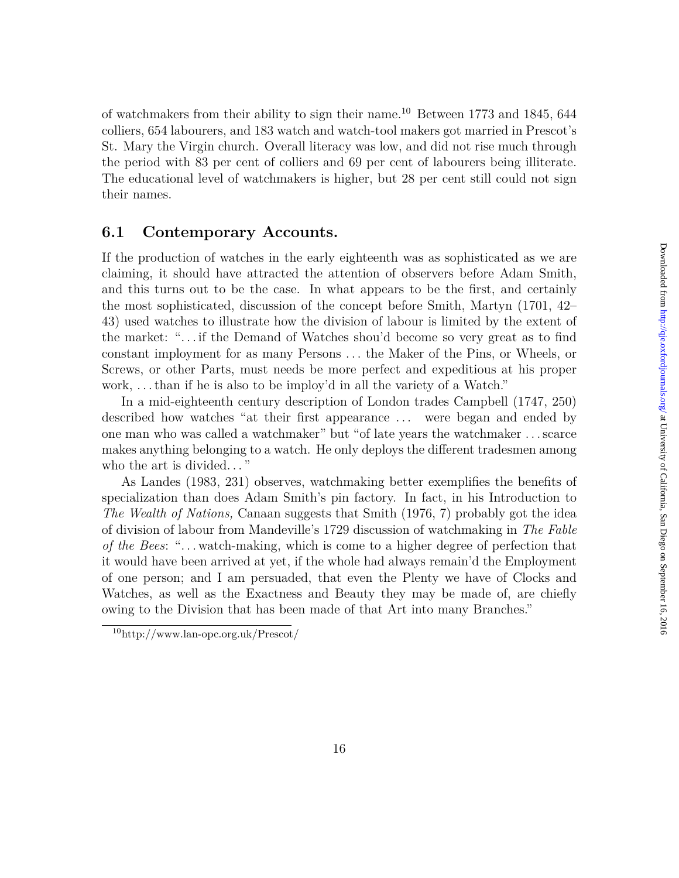of watchmakers from their ability to sign their name.<sup>10</sup> Between 1773 and 1845, 644 colliers, 654 labourers, and 183 watch and watch-tool makers got married in Prescot's St. Mary the Virgin church. Overall literacy was low, and did not rise much through the period with 83 per cent of colliers and 69 per cent of labourers being illiterate. The educational level of watchmakers is higher, but 28 per cent still could not sign their names.

### **6.1 Contemporary Accounts.**

If the production of watches in the early eighteenth was as sophisticated as we are claiming, it should have attracted the attention of observers before Adam Smith, and this turns out to be the case. In what appears to be the first, and certainly the most sophisticated, discussion of the concept before Smith, Martyn (1701, 42– 43) used watches to illustrate how the division of labour is limited by the extent of the market: ". . . if the Demand of Watches shou'd become so very great as to find constant imployment for as many Persons *. . .* the Maker of the Pins, or Wheels, or Screws, or other Parts, must needs be more perfect and expeditious at his proper work, . . . than if he is also to be imploy'd in all the variety of a Watch."

In a mid-eighteenth century description of London trades Campbell (1747, 250) described how watches "at their first appearance . . . were began and ended by one man who was called a watchmaker" but "of late years the watchmaker . . . scarce makes anything belonging to a watch. He only deploys the different tradesmen among who the art is divided. . . "

As Landes (1983, 231) observes, watchmaking better exemplifies the benefits of specialization than does Adam Smith's pin factory. In fact, in his Introduction to *The Wealth of Nations,* Canaan suggests that Smith (1976, 7) probably got the idea of division of labour from Mandeville's 1729 discussion of watchmaking in *The Fable of the Bees*: ". . . watch-making, which is come to a higher degree of perfection that it would have been arrived at yet, if the whole had always remain'd the Employment of one person; and I am persuaded, that even the Plenty we have of Clocks and Watches, as well as the Exactness and Beauty they may be made of, are chiefly owing to the Division that has been made of that Art into many Branches."

<sup>10</sup>http://www.lan-opc.org.uk/Prescot/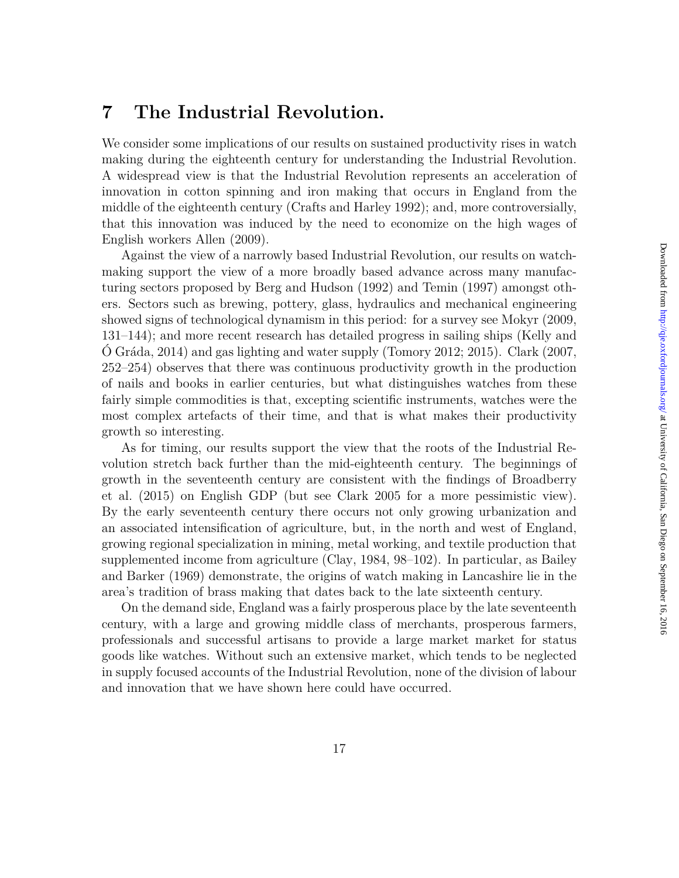### **7 The Industrial Revolution.**

We consider some implications of our results on sustained productivity rises in watch making during the eighteenth century for understanding the Industrial Revolution. A widespread view is that the Industrial Revolution represents an acceleration of innovation in cotton spinning and iron making that occurs in England from the middle of the eighteenth century (Crafts and Harley 1992); and, more controversially, that this innovation was induced by the need to economize on the high wages of English workers Allen (2009).

Against the view of a narrowly based Industrial Revolution, our results on watchmaking support the view of a more broadly based advance across many manufacturing sectors proposed by Berg and Hudson (1992) and Temin (1997) amongst others. Sectors such as brewing, pottery, glass, hydraulics and mechanical engineering showed signs of technological dynamism in this period: for a survey see Mokyr (2009, 131–144); and more recent research has detailed progress in sailing ships (Kelly and O Gráda, 2014) and gas lighting and water supply (Tomory 2012; 2015). Clark (2007, 252–254) observes that there was continuous productivity growth in the production of nails and books in earlier centuries, but what distinguishes watches from these fairly simple commodities is that, excepting scientific instruments, watches were the most complex artefacts of their time, and that is what makes their productivity growth so interesting.

As for timing, our results support the view that the roots of the Industrial Revolution stretch back further than the mid-eighteenth century. The beginnings of growth in the seventeenth century are consistent with the findings of Broadberry et al. (2015) on English GDP (but see Clark 2005 for a more pessimistic view). By the early seventeenth century there occurs not only growing urbanization and an associated intensification of agriculture, but, in the north and west of England, growing regional specialization in mining, metal working, and textile production that supplemented income from agriculture (Clay, 1984, 98–102). In particular, as Bailey and Barker (1969) demonstrate, the origins of watch making in Lancashire lie in the area's tradition of brass making that dates back to the late sixteenth century.

On the demand side, England was a fairly prosperous place by the late seventeenth century, with a large and growing middle class of merchants, prosperous farmers, professionals and successful artisans to provide a large market market for status goods like watches. Without such an extensive market, which tends to be neglected in supply focused accounts of the Industrial Revolution, none of the division of labour and innovation that we have shown here could have occurred.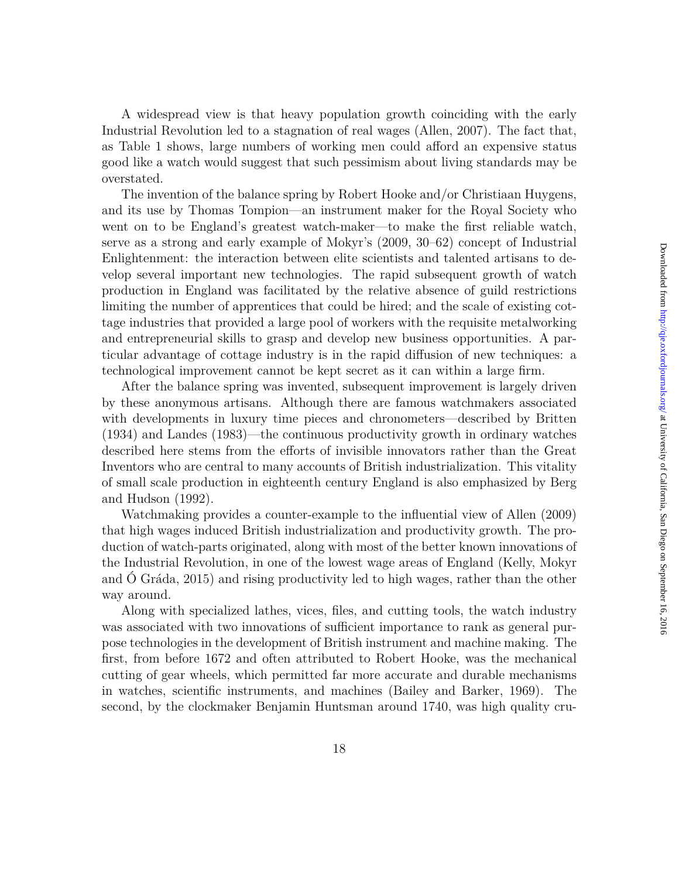A widespread view is that heavy population growth coinciding with the early Industrial Revolution led to a stagnation of real wages (Allen, 2007). The fact that, as Table 1 shows, large numbers of working men could afford an expensive status good like a watch would suggest that such pessimism about living standards may be overstated.

The invention of the balance spring by Robert Hooke and/or Christiaan Huygens, and its use by Thomas Tompion—an instrument maker for the Royal Society who went on to be England's greatest watch-maker—to make the first reliable watch, serve as a strong and early example of Mokyr's (2009, 30–62) concept of Industrial Enlightenment: the interaction between elite scientists and talented artisans to develop several important new technologies. The rapid subsequent growth of watch production in England was facilitated by the relative absence of guild restrictions limiting the number of apprentices that could be hired; and the scale of existing cottage industries that provided a large pool of workers with the requisite metalworking and entrepreneurial skills to grasp and develop new business opportunities. A particular advantage of cottage industry is in the rapid diffusion of new techniques: a technological improvement cannot be kept secret as it can within a large firm.

After the balance spring was invented, subsequent improvement is largely driven by these anonymous artisans. Although there are famous watchmakers associated with developments in luxury time pieces and chronometers—described by Britten (1934) and Landes (1983)—the continuous productivity growth in ordinary watches described here stems from the efforts of invisible innovators rather than the Great Inventors who are central to many accounts of British industrialization. This vitality of small scale production in eighteenth century England is also emphasized by Berg and Hudson (1992).

Watchmaking provides a counter-example to the influential view of Allen (2009) that high wages induced British industrialization and productivity growth. The production of watch-parts originated, along with most of the better known innovations of the Industrial Revolution, in one of the lowest wage areas of England (Kelly, Mokyr and Ó Gráda, 2015) and rising productivity led to high wages, rather than the other way around.

Along with specialized lathes, vices, files, and cutting tools, the watch industry was associated with two innovations of sufficient importance to rank as general purpose technologies in the development of British instrument and machine making. The first, from before 1672 and often attributed to Robert Hooke, was the mechanical cutting of gear wheels, which permitted far more accurate and durable mechanisms in watches, scientific instruments, and machines (Bailey and Barker, 1969). The second, by the clockmaker Benjamin Huntsman around 1740, was high quality cru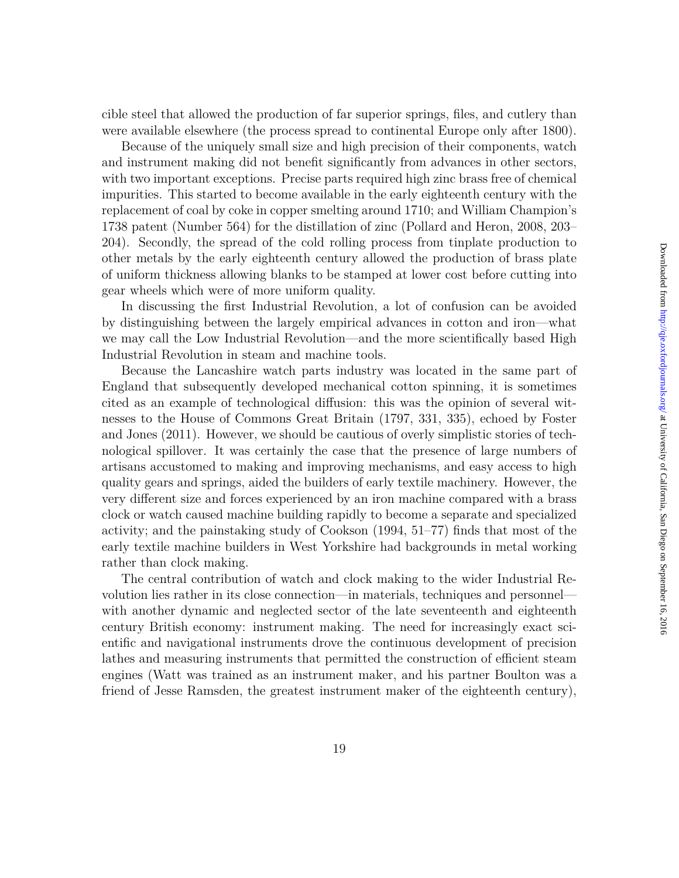cible steel that allowed the production of far superior springs, files, and cutlery than were available elsewhere (the process spread to continental Europe only after 1800).

Because of the uniquely small size and high precision of their components, watch and instrument making did not benefit significantly from advances in other sectors, with two important exceptions. Precise parts required high zinc brass free of chemical impurities. This started to become available in the early eighteenth century with the replacement of coal by coke in copper smelting around 1710; and William Champion's 1738 patent (Number 564) for the distillation of zinc (Pollard and Heron, 2008, 203– 204). Secondly, the spread of the cold rolling process from tinplate production to other metals by the early eighteenth century allowed the production of brass plate of uniform thickness allowing blanks to be stamped at lower cost before cutting into gear wheels which were of more uniform quality.

In discussing the first Industrial Revolution, a lot of confusion can be avoided by distinguishing between the largely empirical advances in cotton and iron—what we may call the Low Industrial Revolution—and the more scientifically based High Industrial Revolution in steam and machine tools.

Because the Lancashire watch parts industry was located in the same part of England that subsequently developed mechanical cotton spinning, it is sometimes cited as an example of technological diffusion: this was the opinion of several witnesses to the House of Commons Great Britain (1797, 331, 335), echoed by Foster and Jones (2011). However, we should be cautious of overly simplistic stories of technological spillover. It was certainly the case that the presence of large numbers of artisans accustomed to making and improving mechanisms, and easy access to high quality gears and springs, aided the builders of early textile machinery. However, the very different size and forces experienced by an iron machine compared with a brass clock or watch caused machine building rapidly to become a separate and specialized activity; and the painstaking study of Cookson (1994, 51–77) finds that most of the early textile machine builders in West Yorkshire had backgrounds in metal working rather than clock making.

The central contribution of watch and clock making to the wider Industrial Revolution lies rather in its close connection—in materials, techniques and personnel with another dynamic and neglected sector of the late seventeenth and eighteenth century British economy: instrument making. The need for increasingly exact scientific and navigational instruments drove the continuous development of precision lathes and measuring instruments that permitted the construction of efficient steam engines (Watt was trained as an instrument maker, and his partner Boulton was a friend of Jesse Ramsden, the greatest instrument maker of the eighteenth century),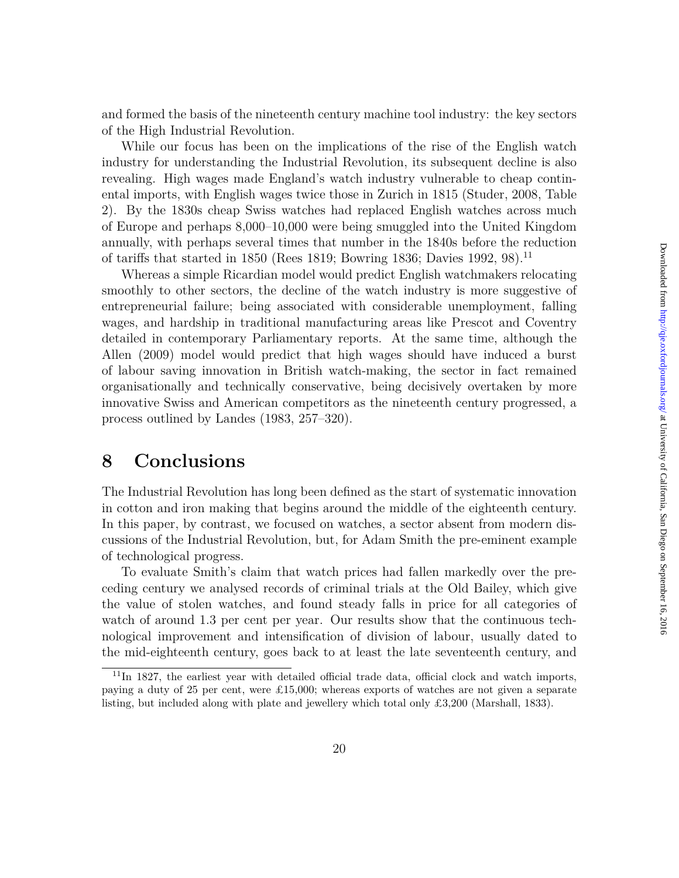and formed the basis of the nineteenth century machine tool industry: the key sectors of the High Industrial Revolution.

While our focus has been on the implications of the rise of the English watch industry for understanding the Industrial Revolution, its subsequent decline is also revealing. High wages made England's watch industry vulnerable to cheap continental imports, with English wages twice those in Zurich in 1815 (Studer, 2008, Table 2). By the 1830s cheap Swiss watches had replaced English watches across much of Europe and perhaps 8,000–10,000 were being smuggled into the United Kingdom annually, with perhaps several times that number in the 1840s before the reduction of tariffs that started in 1850 (Rees 1819; Bowring 1836; Davies 1992, 98).<sup>11</sup>

Whereas a simple Ricardian model would predict English watchmakers relocating smoothly to other sectors, the decline of the watch industry is more suggestive of entrepreneurial failure; being associated with considerable unemployment, falling wages, and hardship in traditional manufacturing areas like Prescot and Coventry detailed in contemporary Parliamentary reports. At the same time, although the Allen (2009) model would predict that high wages should have induced a burst of labour saving innovation in British watch-making, the sector in fact remained organisationally and technically conservative, being decisively overtaken by more innovative Swiss and American competitors as the nineteenth century progressed, a process outlined by Landes (1983, 257–320).

### **8 Conclusions**

The Industrial Revolution has long been defined as the start of systematic innovation in cotton and iron making that begins around the middle of the eighteenth century. In this paper, by contrast, we focused on watches, a sector absent from modern discussions of the Industrial Revolution, but, for Adam Smith the pre-eminent example of technological progress.

To evaluate Smith's claim that watch prices had fallen markedly over the preceding century we analysed records of criminal trials at the Old Bailey, which give the value of stolen watches, and found steady falls in price for all categories of watch of around 1.3 per cent per year. Our results show that the continuous technological improvement and intensification of division of labour, usually dated to the mid-eighteenth century, goes back to at least the late seventeenth century, and

<sup>&</sup>lt;sup>11</sup>In 1827, the earliest year with detailed official trade data, official clock and watch imports, paying a duty of 25 per cent, were £15,000; whereas exports of watches are not given a separate listing, but included along with plate and jewellery which total only £3,200 (Marshall, 1833).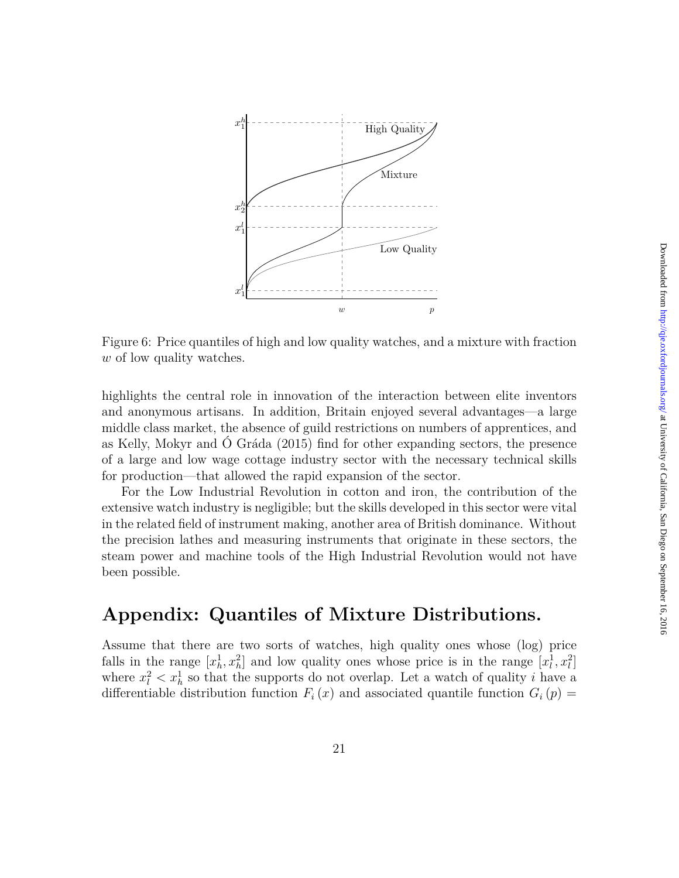

Figure 6: Price quantiles of high and low quality watches, and a mixture with fraction *w* of low quality watches.

highlights the central role in innovation of the interaction between elite inventors and anonymous artisans. In addition, Britain enjoyed several advantages—a large middle class market, the absence of guild restrictions on numbers of apprentices, and as Kelly, Mokyr and Ó Gráda (2015) find for other expanding sectors, the presence of a large and low wage cottage industry sector with the necessary technical skills for production—that allowed the rapid expansion of the sector.

For the Low Industrial Revolution in cotton and iron, the contribution of the extensive watch industry is negligible; but the skills developed in this sector were vital in the related field of instrument making, another area of British dominance. Without the precision lathes and measuring instruments that originate in these sectors, the steam power and machine tools of the High Industrial Revolution would not have been possible.

# **Appendix: Quantiles of Mixture Distributions.**

Assume that there are two sorts of watches, high quality ones whose (log) price falls in the range  $[x_h^1, x_h^2]$  and low quality ones whose price is in the range  $[x_l^1, x_l^2]$ where  $x_i^2 < x_h^1$  so that the supports do not overlap. Let a watch of quality *i* have a differentiable distribution function  $F_i(x)$  and associated quantile function  $G_i(p)$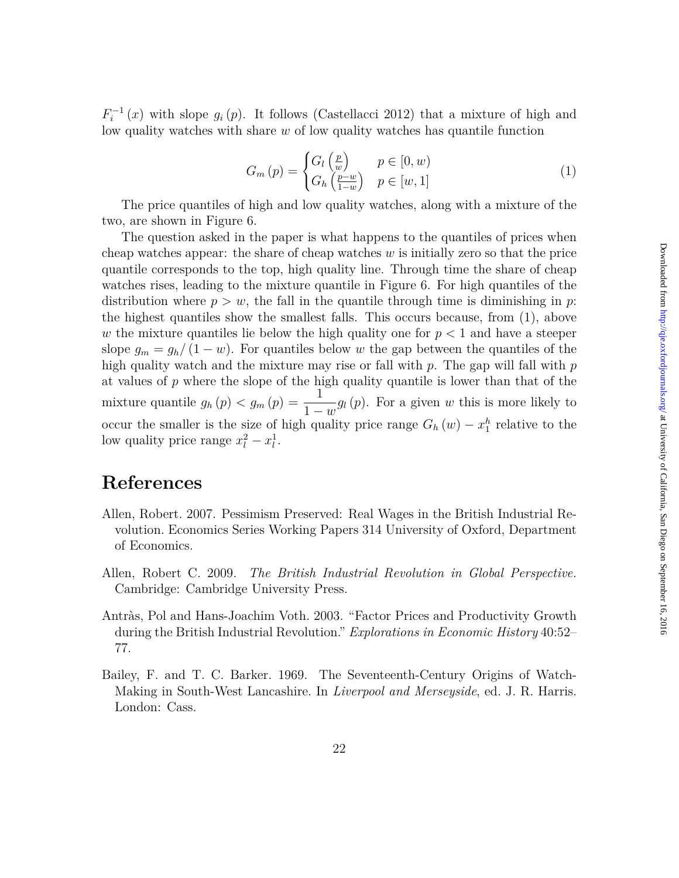$F_i^{-1}(x)$  with slope  $g_i(p)$ . It follows (Castellacci 2012) that a mixture of high and low quality watches with share *w* of low quality watches has quantile function

$$
G_m(p) = \begin{cases} G_l\left(\frac{p}{w}\right) & p \in [0, w) \\ G_h\left(\frac{p-w}{1-w}\right) & p \in [w, 1] \end{cases}
$$
(1)

The price quantiles of high and low quality watches, along with a mixture of the two, are shown in Figure 6.

The question asked in the paper is what happens to the quantiles of prices when cheap watches appear: the share of cheap watches *w* is initially zero so that the price quantile corresponds to the top, high quality line. Through time the share of cheap watches rises, leading to the mixture quantile in Figure 6. For high quantiles of the distribution where  $p > w$ , the fall in the quantile through time is diminishing in *p*: the highest quantiles show the smallest falls. This occurs because, from (1), above *w* the mixture quantiles lie below the high quality one for  $p < 1$  and have a steeper slope  $g_m = g_h/(1 - w)$ . For quantiles below *w* the gap between the quantiles of the high quality watch and the mixture may rise or fall with *p*. The gap will fall with *p* at values of *p* where the slope of the high quality quantile is lower than that of the mixture quantile  $g_h(p) < g_m(p) = \frac{1}{1-w} g_l(p)$ . For a given *w* this is more likely to occur the smaller is the size of high quality price range  $G_h(w) - x_1^h$  relative to the low quality price range  $x_l^2 - x_l^1$ .

## **References**

- Allen, Robert. 2007. Pessimism Preserved: Real Wages in the British Industrial Revolution. Economics Series Working Papers 314 University of Oxford, Department of Economics.
- Allen, Robert C. 2009. *The British Industrial Revolution in Global Perspective.* Cambridge: Cambridge University Press.
- Antràs, Pol and Hans-Joachim Voth. 2003. "Factor Prices and Productivity Growth during the British Industrial Revolution." *Explorations in Economic History* 40:52– 77.
- Bailey, F. and T. C. Barker. 1969. The Seventeenth-Century Origins of Watch-Making in South-West Lancashire. In *Liverpool and Merseyside*, ed. J. R. Harris. London: Cass.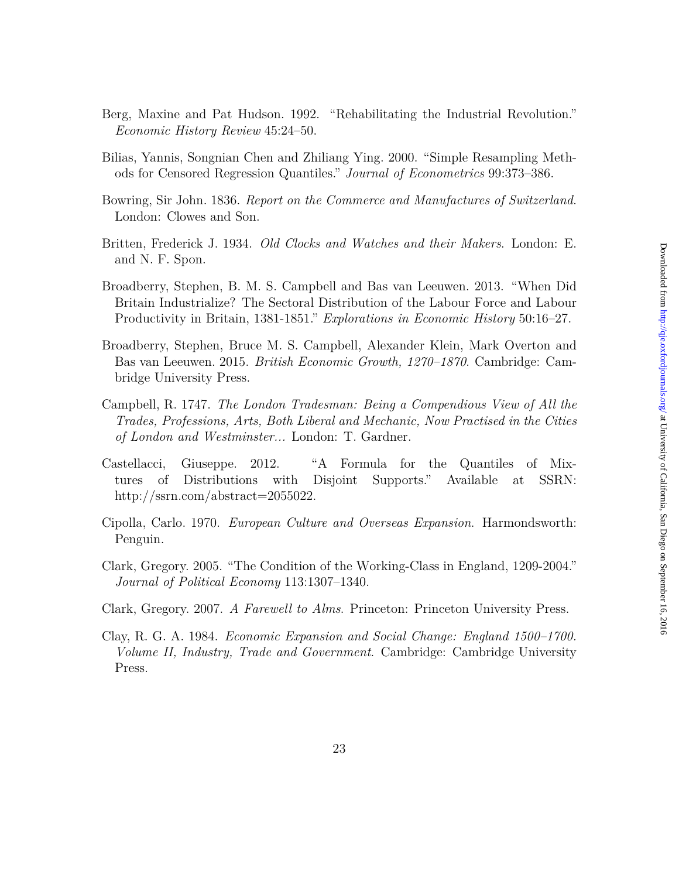- Berg, Maxine and Pat Hudson. 1992. "Rehabilitating the Industrial Revolution." *Economic History Review* 45:24–50.
- Bilias, Yannis, Songnian Chen and Zhiliang Ying. 2000. "Simple Resampling Methods for Censored Regression Quantiles." *Journal of Econometrics* 99:373–386.
- Bowring, Sir John. 1836. *Report on the Commerce and Manufactures of Switzerland*. London: Clowes and Son.
- Britten, Frederick J. 1934. *Old Clocks and Watches and their Makers*. London: E. and N. F. Spon.
- Broadberry, Stephen, B. M. S. Campbell and Bas van Leeuwen. 2013. "When Did Britain Industrialize? The Sectoral Distribution of the Labour Force and Labour Productivity in Britain, 1381-1851." *Explorations in Economic History* 50:16–27.
- Broadberry, Stephen, Bruce M. S. Campbell, Alexander Klein, Mark Overton and Bas van Leeuwen. 2015. *British Economic Growth, 1270–1870*. Cambridge: Cambridge University Press.
- Campbell, R. 1747. *The London Tradesman: Being a Compendious View of All the Trades, Professions, Arts, Both Liberal and Mechanic, Now Practised in the Cities of London and Westminster...* London: T. Gardner.
- Castellacci, Giuseppe. 2012. "A Formula for the Quantiles of Mixtures of Distributions with Disjoint Supports." Available at SSRN: http://ssrn.com/abstract=2055022.
- Cipolla, Carlo. 1970. *European Culture and Overseas Expansion*. Harmondsworth: Penguin.
- Clark, Gregory. 2005. "The Condition of the Working-Class in England, 1209-2004." *Journal of Political Economy* 113:1307–1340.
- Clark, Gregory. 2007. *A Farewell to Alms*. Princeton: Princeton University Press.
- Clay, R. G. A. 1984. *Economic Expansion and Social Change: England 1500–1700. Volume II, Industry, Trade and Government*. Cambridge: Cambridge University Press.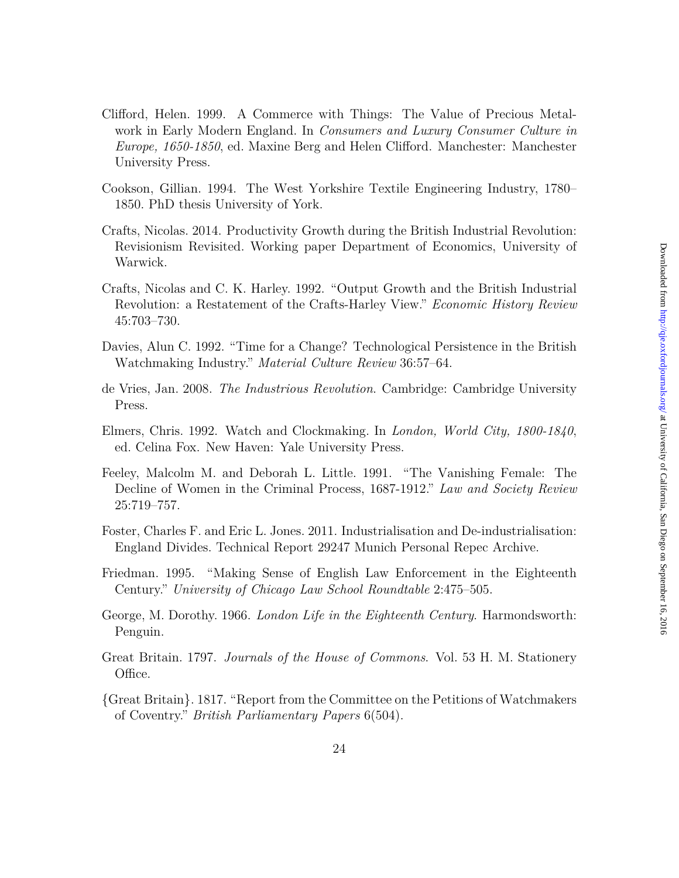- Clifford, Helen. 1999. A Commerce with Things: The Value of Precious Metalwork in Early Modern England. In *Consumers and Luxury Consumer Culture in Europe, 1650-1850*, ed. Maxine Berg and Helen Clifford. Manchester: Manchester University Press.
- Cookson, Gillian. 1994. The West Yorkshire Textile Engineering Industry, 1780– 1850. PhD thesis University of York.
- Crafts, Nicolas. 2014. Productivity Growth during the British Industrial Revolution: Revisionism Revisited. Working paper Department of Economics, University of Warwick.
- Crafts, Nicolas and C. K. Harley. 1992. "Output Growth and the British Industrial Revolution: a Restatement of the Crafts-Harley View." *Economic History Review* 45:703–730.
- Davies, Alun C. 1992. "Time for a Change? Technological Persistence in the British Watchmaking Industry." *Material Culture Review* 36:57–64.
- de Vries, Jan. 2008. *The Industrious Revolution*. Cambridge: Cambridge University Press.
- Elmers, Chris. 1992. Watch and Clockmaking. In *London, World City, 1800-1840*, ed. Celina Fox. New Haven: Yale University Press.
- Feeley, Malcolm M. and Deborah L. Little. 1991. "The Vanishing Female: The Decline of Women in the Criminal Process, 1687-1912." *Law and Society Review* 25:719–757.
- Foster, Charles F. and Eric L. Jones. 2011. Industrialisation and De-industrialisation: England Divides. Technical Report 29247 Munich Personal Repec Archive.
- Friedman. 1995. "Making Sense of English Law Enforcement in the Eighteenth Century." *University of Chicago Law School Roundtable* 2:475–505.
- George, M. Dorothy. 1966. *London Life in the Eighteenth Century*. Harmondsworth: Penguin.
- Great Britain. 1797. *Journals of the House of Commons*. Vol. 53 H. M. Stationery Office.
- {Great Britain}. 1817. "Report from the Committee on the Petitions of Watchmakers of Coventry." *British Parliamentary Papers* 6(504).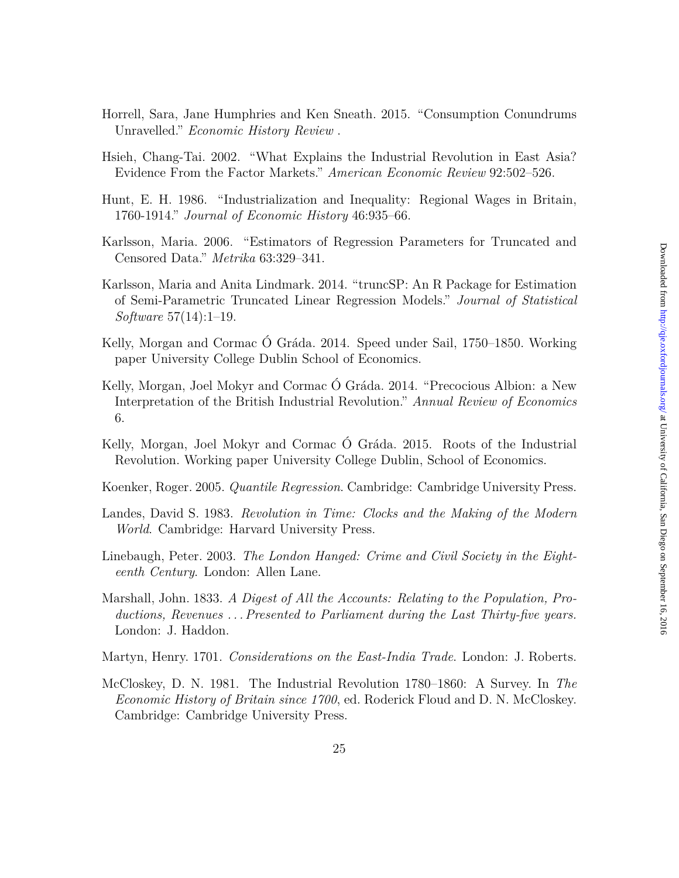- Horrell, Sara, Jane Humphries and Ken Sneath. 2015. "Consumption Conundrums Unravelled." *Economic History Review* .
- Hsieh, Chang-Tai. 2002. "What Explains the Industrial Revolution in East Asia? Evidence From the Factor Markets." *American Economic Review* 92:502–526.
- Hunt, E. H. 1986. "Industrialization and Inequality: Regional Wages in Britain, 1760-1914." *Journal of Economic History* 46:935–66.
- Karlsson, Maria. 2006. "Estimators of Regression Parameters for Truncated and Censored Data." *Metrika* 63:329–341.
- Karlsson, Maria and Anita Lindmark. 2014. "truncSP: An R Package for Estimation of Semi-Parametric Truncated Linear Regression Models." *Journal of Statistical Software* 57(14):1–19.
- Kelly, Morgan and Cormac Ó Gráda. 2014. Speed under Sail, 1750–1850. Working paper University College Dublin School of Economics.
- Kelly, Morgan, Joel Mokyr and Cormac Ó Gráda. 2014. "Precocious Albion: a New Interpretation of the British Industrial Revolution." *Annual Review of Economics* 6.
- Kelly, Morgan, Joel Mokyr and Cormac Ó Gráda. 2015. Roots of the Industrial Revolution. Working paper University College Dublin, School of Economics.
- Koenker, Roger. 2005. *Quantile Regression*. Cambridge: Cambridge University Press.
- Landes, David S. 1983. *Revolution in Time: Clocks and the Making of the Modern World*. Cambridge: Harvard University Press.
- Linebaugh, Peter. 2003. *The London Hanged: Crime and Civil Society in the Eighteenth Century*. London: Allen Lane.
- Marshall, John. 1833. *A Digest of All the Accounts: Relating to the Population, Productions, Revenues . . . Presented to Parliament during the Last Thirty-five years.* London: J. Haddon.
- Martyn, Henry. 1701. *Considerations on the East-India Trade*. London: J. Roberts.
- McCloskey, D. N. 1981. The Industrial Revolution 1780–1860: A Survey. In *The Economic History of Britain since 1700*, ed. Roderick Floud and D. N. McCloskey. Cambridge: Cambridge University Press.